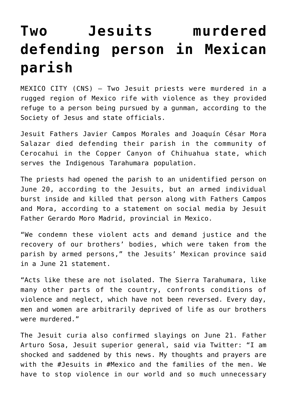## **[Two Jesuits murdered](https://www.osvnews.com/2022/06/21/two-jesuits-murdered-defending-person-in-mexican-parish/) [defending person in Mexican](https://www.osvnews.com/2022/06/21/two-jesuits-murdered-defending-person-in-mexican-parish/) [parish](https://www.osvnews.com/2022/06/21/two-jesuits-murdered-defending-person-in-mexican-parish/)**

MEXICO CITY (CNS) — Two Jesuit priests were murdered in a rugged region of Mexico rife with violence as they provided refuge to a person being pursued by a gunman, according to the Society of Jesus and state officials.

Jesuit Fathers Javier Campos Morales and Joaquín César Mora Salazar died defending their parish in the community of Cerocahui in the Copper Canyon of Chihuahua state, which serves the Indigenous Tarahumara population.

The priests had opened the parish to an unidentified person on June 20, according to the Jesuits, but an armed individual burst inside and killed that person along with Fathers Campos and Mora, according to a statement on social media by Jesuit Father Gerardo Moro Madrid, provincial in Mexico.

"We condemn these violent acts and demand justice and the recovery of our brothers' bodies, which were taken from the parish by armed persons," the Jesuits' Mexican province said in a June 21 statement.

"Acts like these are not isolated. The Sierra Tarahumara, like many other parts of the country, confronts conditions of violence and neglect, which have not been reversed. Every day, men and women are arbitrarily deprived of life as our brothers were murdered."

The Jesuit curia also confirmed slayings on June 21. Father Arturo Sosa, Jesuit superior general, said via Twitter: "I am shocked and saddened by this news. My thoughts and prayers are with the #Jesuits in #Mexico and the families of the men. We have to stop violence in our world and so much unnecessary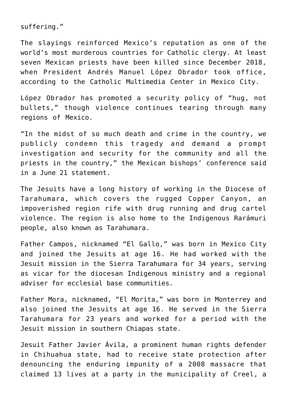suffering."

The slayings reinforced Mexico's reputation as one of the world's most murderous countries for Catholic clergy. At least seven Mexican priests have been killed since December 2018, when President Andrés Manuel López Obrador took office, according to the Catholic Multimedia Center in Mexico City.

López Obrador has promoted a security policy of "hug, not bullets," though violence continues tearing through many regions of Mexico.

"In the midst of so much death and crime in the country, we publicly condemn this tragedy and demand a prompt investigation and security for the community and all the priests in the country," the Mexican bishops' conference said in a June 21 statement.

The Jesuits have a long history of working in the Diocese of Tarahumara, which covers the rugged Copper Canyon, an impoverished region rife with drug running and drug cartel violence. The region is also home to the Indigenous Rarámuri people, also known as Tarahumara.

Father Campos, nicknamed "El Gallo," was born in Mexico City and joined the Jesuits at age 16. He had worked with the Jesuit mission in the Sierra Tarahumara for 34 years, serving as vicar for the diocesan Indigenous ministry and a regional adviser for ecclesial base communities.

Father Mora, nicknamed, "El Morita," was born in Monterrey and also joined the Jesuits at age 16. He served in the Sierra Tarahumara for 23 years and worked for a period with the Jesuit mission in southern Chiapas state.

Jesuit Father Javier Ávila, a prominent human rights defender in Chihuahua state, had to receive state protection after denouncing the enduring impunity of a 2008 massacre that claimed 13 lives at a party in the municipality of Creel, a